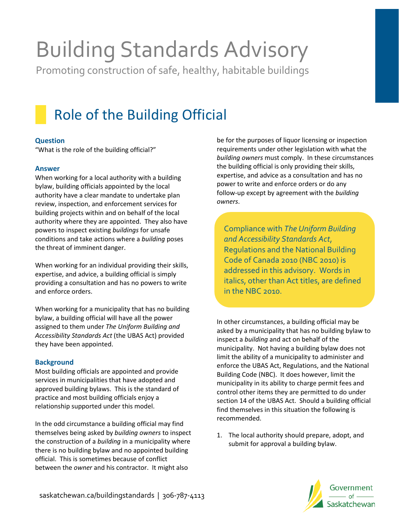# Building Standards Advisory

Promoting construction of safe, healthy, habitable buildings

## Role of the Building Official

#### **Question**

"What is the role of the building official?"

#### **Answer**

When working for a local authority with a building bylaw, building officials appointed by the local authority have a clear mandate to undertake plan review, inspection, and enforcement services for building projects within and on behalf of the local authority where they are appointed. They also have powers to inspect existing *buildings* for unsafe conditions and take actions where a *building* poses the threat of imminent danger.

When working for an individual providing their skills, expertise, and advice, a building official is simply providing a consultation and has no powers to write and enforce orders.

When working for a municipality that has no building bylaw, a building official will have all the power assigned to them under *The Uniform Building and Accessibility Standards Act* (the UBAS Act) provided they have been appointed.

#### **Background**

Most building officials are appointed and provide services in municipalities that have adopted and approved building bylaws. This is the standard of practice and most building officials enjoy a relationship supported under this model.

In the odd circumstance a building official may find themselves being asked by *building owners* to inspect the construction of a *building* in a municipality where there is no building bylaw and no appointed building official. This is sometimes because of conflict between the *owner* and his contractor. It might also

be for the purposes of liquor licensing or inspection requirements under other legislation with what the *building owners* must comply. In these circumstances the building official is only providing their skills, expertise, and advice as a consultation and has no power to write and enforce orders or do any follow-up except by agreement with the *building owners*.

Compliance with *The Uniform Building and Accessibility Standards Act*, Regulations and the National Building Code of Canada 2010 (NBC 2010) is addressed in this advisory. Words in italics, other than Act titles, are defined in the NBC 2010.

In other circumstances, a building official may be asked by a municipality that has no building bylaw to inspect a *building* and act on behalf of the municipality. Not having a building bylaw does not limit the ability of a municipality to administer and enforce the UBAS Act, Regulations, and the National Building Code (NBC). It does however, limit the municipality in its ability to charge permit fees and control other items they are permitted to do under section 14 of the UBAS Act. Should a building official find themselves in this situation the following is recommended.

1. The local authority should prepare, adopt, and submit for approval a building bylaw.